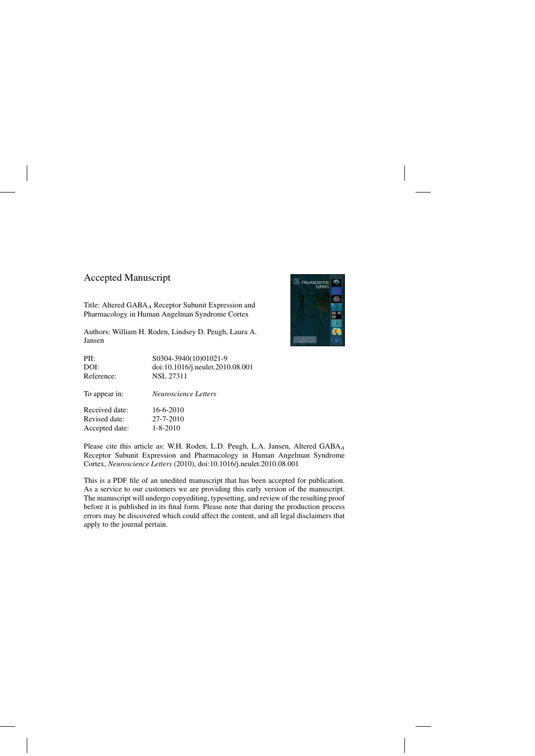## Accepted Manuscript

Title: Altered  $GABA_A$  Receptor Subunit Expression and Pharmacology in Human Angelman Syndrome Cortex

Authors: William H. Roden, Lindsey D. Peugh, Laura A. Jansen

| PII:           | S0304-3940(10)01021-9            |
|----------------|----------------------------------|
| DOI:           | doi:10.1016/j.neulet.2010.08.001 |
| Reference:     | <b>NSL 27311</b>                 |
| To appear in:  | <b>Neuroscience Letters</b>      |
| Received date: | 16-6-2010                        |
| Revised date:  | 27-7-2010                        |
| Accepted date: | $1 - 8 - 2010$                   |



Please cite this article as: W.H. Roden, L.D. Peugh, L.A. Jansen, Altered  $GABA_A$ Receptor Subunit Expression and Pharmacology in Human Angelman Syndrome Cortex, *Neuroscience Letters* (2010), doi[:10.1016/j.neulet.2010.08.001](dx.doi.org/10.1016/j.neulet.2010.08.001)

This is a PDF file of an unedited manuscript that has been accepted for publication. As a service to our customers we are providing this early version of the manuscript. The manuscript will undergo copyediting, typesetting, and review of the resulting proof before it is published in its final form. Please note that during the production process errors may be discovered which could affect the content, and all legal disclaimers that apply to the journal pertain.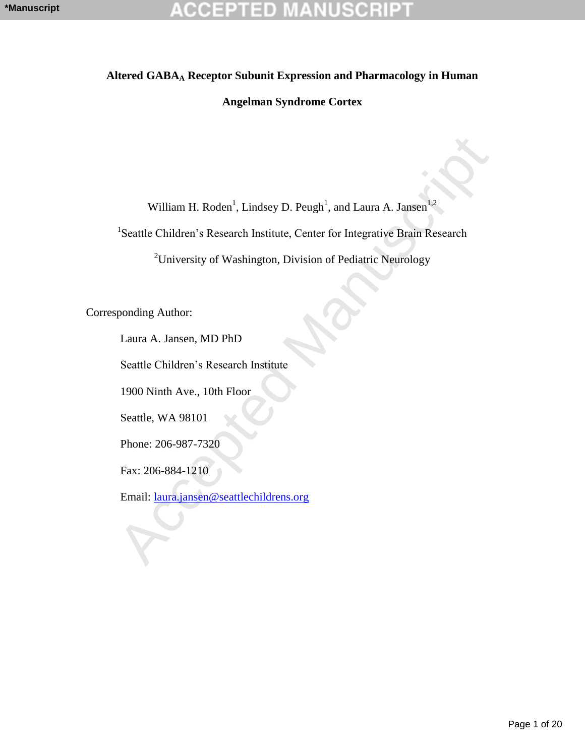## **Altered GABA<sup>A</sup> Receptor Subunit Expression and Pharmacology in Human**

**Angelman Syndrome Cortex**

William H. Roden<sup>1</sup>, Lindsey D. Peugh<sup>1</sup>, and Laura A. Jansen<sup>1,2</sup>

William H. Roden<sup>1</sup>, Lindsey D. Peugh<sup>1</sup>, and Laura A. Jansen<sup>12</sup><br>
<sup>12</sup>Seattle Children's Research Institute, Center for Integrative Brain Research<br>
<sup>2</sup>University of Washington, Division of Pediatric Neurology<br>
ponding Aut <sup>1</sup>Seattle Children's Research Institute, Center for Integrative Brain Research

<sup>2</sup>University of Washington, Division of Pediatric Neurology

Corresponding Author:

Laura A. Jansen, MD PhD

Seattle Children's Research Institute

1900 Ninth Ave., 10th Floor

Seattle, WA 98101

Phone: 206-987-7320

Fax: 206-884-1210

Email: laura.jansen@seattlechildrens.org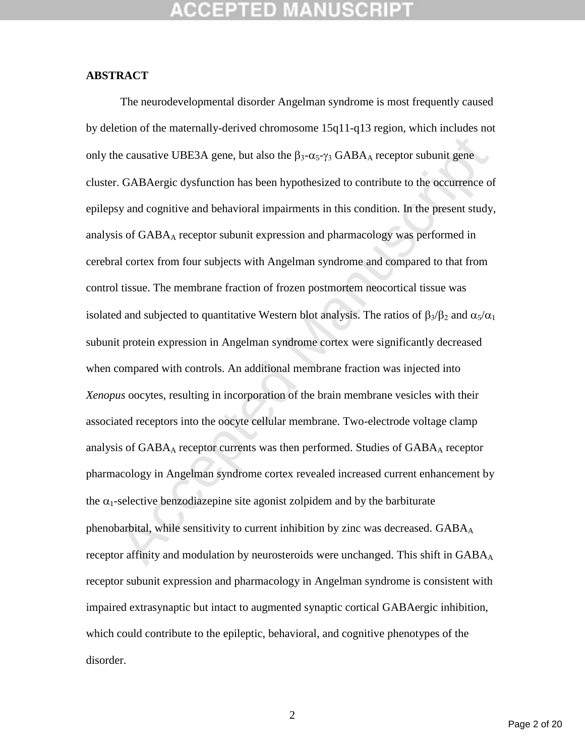### **ABSTRACT**

incometric UBE3A gene, but also the  $β_3$ -α<sub>3</sub>- $γ_3$  GABA<sub>A</sub> receptor subunit gene<br>
GABAergic dysfunction has been hypothesized to contribute to the occurrence of<br>
sy and cognitive and behavioral impairments in this cond The neurodevelopmental disorder Angelman syndrome is most frequently caused by deletion of the maternally-derived chromosome 15q11-q13 region, which includes not only the causative UBE3A gene, but also the  $\beta_3$ - $\alpha_5$ - $\gamma_3$  GABA<sub>A</sub> receptor subunit gene cluster. GABAergic dysfunction has been hypothesized to contribute to the occurrence of epilepsy and cognitive and behavioral impairments in this condition. In the present study, analysis of GABA<sup>A</sup> receptor subunit expression and pharmacology was performed in cerebral cortex from four subjects with Angelman syndrome and compared to that from control tissue. The membrane fraction of frozen postmortem neocortical tissue was isolated and subjected to quantitative Western blot analysis. The ratios of  $\beta_3/\beta_2$  and  $\alpha_5/\alpha_1$ subunit protein expression in Angelman syndrome cortex were significantly decreased when compared with controls. An additional membrane fraction was injected into *Xenopus* oocytes, resulting in incorporation of the brain membrane vesicles with their associated receptors into the oocyte cellular membrane. Two-electrode voltage clamp analysis of  $GABA_A$  receptor currents was then performed. Studies of  $GABA_A$  receptor pharmacology in Angelman syndrome cortex revealed increased current enhancement by the  $\alpha_1$ -selective benzodiazepine site agonist zolpidem and by the barbiturate phenobarbital, while sensitivity to current inhibition by zinc was decreased.  $GABA_A$ receptor affinity and modulation by neurosteroids were unchanged. This shift in  $GABA_A$ receptor subunit expression and pharmacology in Angelman syndrome is consistent with impaired extrasynaptic but intact to augmented synaptic cortical GABAergic inhibition, which could contribute to the epileptic, behavioral, and cognitive phenotypes of the disorder.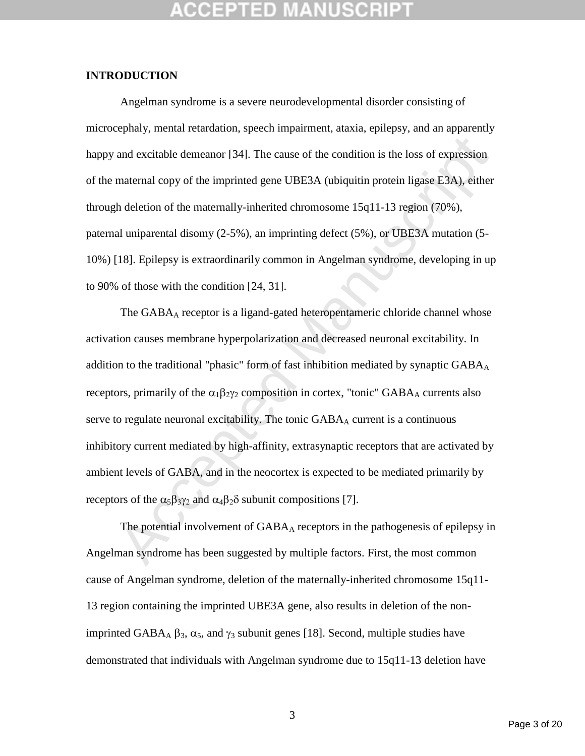## **INTRODUCTION**

Angelman syndrome is a severe neurodevelopmental disorder consisting of microcephaly, mental retardation, speech impairment, ataxia, epilepsy, and an apparently happy and excitable demeanor [34]. The cause of the condition is the loss of expression of the maternal copy of the imprinted gene UBE3A (ubiquitin protein ligase E3A), either through deletion of the maternally-inherited chromosome 15q11-13 region (70%), paternal uniparental disomy (2-5%), an imprinting defect (5%), or UBE3A mutation (5- 10%) [18]. Epilepsy is extraordinarily common in Angelman syndrome, developing in up to 90% of those with the condition [24, 31].

and excitable demeanor [34]. The cause of the condition is the loss of expression<br>maternal copy of the imprinted gene UBE3A (ubiquitin protein ligase E3A), either<br>h deletion of the maternally-inherited chromosome 15q11-13 The GABA<sub>A</sub> receptor is a ligand-gated heteropentameric chloride channel whose activation causes membrane hyperpolarization and decreased neuronal excitability. In addition to the traditional "phasic" form of fast inhibition mediated by synaptic  $GABA_A$ receptors, primarily of the  $\alpha_1\beta_2\gamma_2$  composition in cortex, "tonic" GABA<sub>A</sub> currents also serve to regulate neuronal excitability. The tonic  $GABA_A$  current is a continuous inhibitory current mediated by high-affinity, extrasynaptic receptors that are activated by ambient levels of GABA, and in the neocortex is expected to be mediated primarily by receptors of the  $\alpha_5 \beta_3 \gamma_2$  and  $\alpha_4 \beta_2 \delta$  subunit compositions [7].

The potential involvement of  $GABA_A$  receptors in the pathogenesis of epilepsy in Angelman syndrome has been suggested by multiple factors. First, the most common cause of Angelman syndrome, deletion of the maternally-inherited chromosome 15q11- 13 region containing the imprinted UBE3A gene, also results in deletion of the nonimprinted GABA<sub>A</sub>  $\beta_3$ ,  $\alpha_5$ , and  $\gamma_3$  subunit genes [18]. Second, multiple studies have demonstrated that individuals with Angelman syndrome due to 15q11-13 deletion have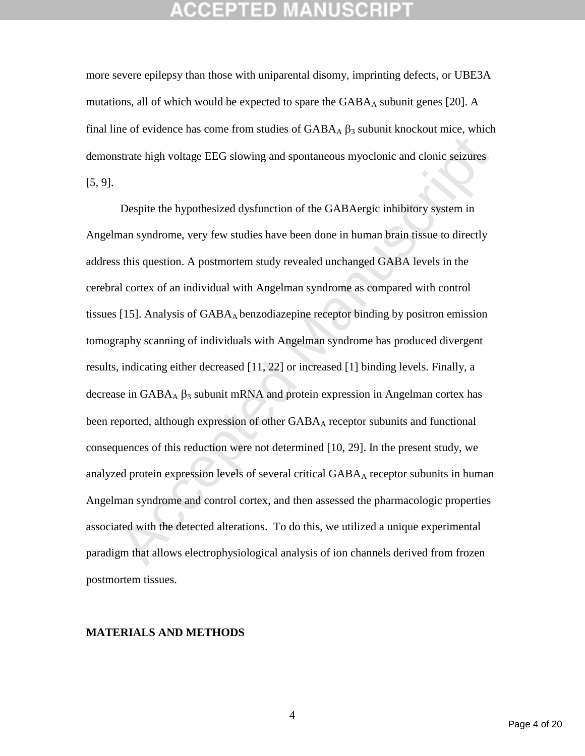more severe epilepsy than those with uniparental disomy, imprinting defects, or UBE3A mutations, all of which would be expected to spare the  $GABA_A$  subunit genes [20]. A final line of evidence has come from studies of  $GABA_A \beta_3$  subunit knockout mice, which demonstrate high voltage EEG slowing and spontaneous myoclonic and clonic seizures [5, 9].

Extract high voltage EEG slowing and spontaneous myoclonic and clonic seizures<br>
Despite the hypothesized dysfunction of the GABAergic inhibitory system in<br>
man syndrome, very few studies have been done in human brain tiss Despite the hypothesized dysfunction of the GABAergic inhibitory system in Angelman syndrome, very few studies have been done in human brain tissue to directly address this question. A postmortem study revealed unchanged GABA levels in the cerebral cortex of an individual with Angelman syndrome as compared with control tissues [15]. Analysis of  $GABA_A$  benzodiazepine receptor binding by positron emission tomography scanning of individuals with Angelman syndrome has produced divergent results, indicating either decreased [11, 22] or increased [1] binding levels. Finally, a decrease in  $GABA_A \beta_3$  subunit mRNA and protein expression in Angelman cortex has been reported, although expression of other GABA<sub>A</sub> receptor subunits and functional consequences of this reduction were not determined [10, 29]. In the present study, we analyzed protein expression levels of several critical GABA<sub>A</sub> receptor subunits in human Angelman syndrome and control cortex, and then assessed the pharmacologic properties associated with the detected alterations. To do this, we utilized a unique experimental paradigm that allows electrophysiological analysis of ion channels derived from frozen postmortem tissues.

### **MATERIALS AND METHODS**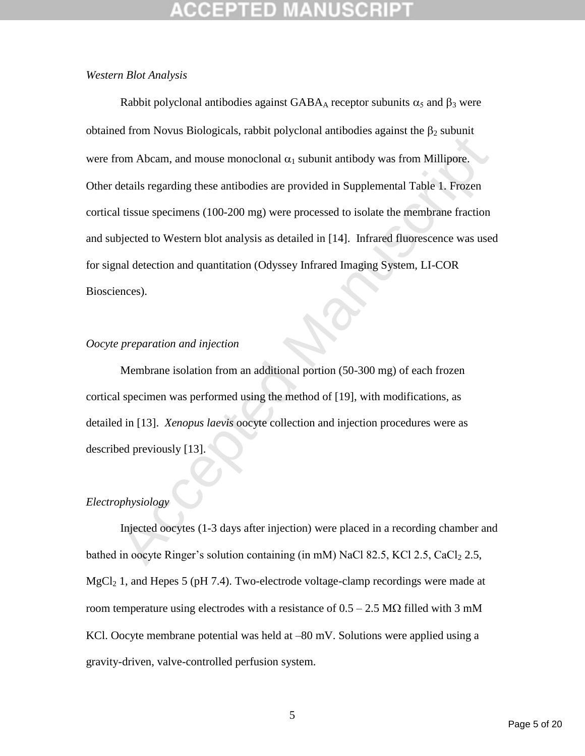### *Western Blot Analysis*

Lemmann and mouse monoclonal  $\alpha_1$  subunit antibody was from Millipote.<br>
Hereinals regarding these antibodies are provided in Supplemental Table 1. Frozen<br>
al tissue specimens (100-200 mg) were processed to isolate the m Rabbit polyclonal antibodies against GABA<sub>A</sub> receptor subunits  $\alpha_5$  and  $\beta_3$  were obtained from Novus Biologicals, rabbit polyclonal antibodies against the  $\beta_2$  subunit were from Abcam, and mouse monoclonal  $\alpha_1$  subunit antibody was from Millipore. Other details regarding these antibodies are provided in Supplemental Table 1. Frozen cortical tissue specimens (100-200 mg) were processed to isolate the membrane fraction and subjected to Western blot analysis as detailed in [14]. Infrared fluorescence was used for signal detection and quantitation (Odyssey Infrared Imaging System, LI-COR Biosciences).

## *Oocyte preparation and injection*

Membrane isolation from an additional portion (50-300 mg) of each frozen cortical specimen was performed using the method of [19], with modifications, as detailed in [13]. *Xenopus laevis* oocyte collection and injection procedures were as described previously [13].

### *Electrophysiology*

Injected oocytes (1-3 days after injection) were placed in a recording chamber and bathed in oocyte Ringer's solution containing (in mM) NaCl 82.5, KCl 2.5, CaCl<sub>2</sub> 2.5,  $MgCl<sub>2</sub>$  1, and Hepes 5 (pH 7.4). Two-electrode voltage-clamp recordings were made at room temperature using electrodes with a resistance of  $0.5 - 2.5$  M $\Omega$  filled with 3 mM KCl. Oocyte membrane potential was held at –80 mV. Solutions were applied using a gravity-driven, valve-controlled perfusion system.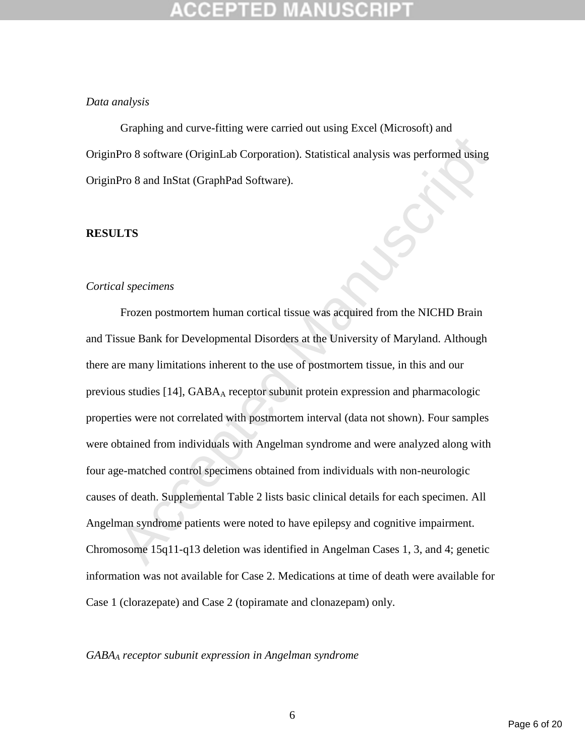### *Data analysis*

Graphing and curve-fitting were carried out using Excel (Microsoft) and OriginPro 8 software (OriginLab Corporation). Statistical analysis was performed using OriginPro 8 and InStat (GraphPad Software).

### **RESULTS**

### *Cortical specimens*

Pro 8 software (OriginLab Corporation). Statistical analysis was performed using<br>
Pro 8 software (OriginLab Corporation). Statistical analysis was performed using<br>
Pro 8 and InStat (GraphPad Software).<br>
<br> **LTS**<br>
<br> **LTS**<br> Frozen postmortem human cortical tissue was acquired from the NICHD Brain and Tissue Bank for Developmental Disorders at the University of Maryland. Although there are many limitations inherent to the use of postmortem tissue, in this and our previous studies [14], GABA<sub>A</sub> receptor subunit protein expression and pharmacologic properties were not correlated with postmortem interval (data not shown). Four samples were obtained from individuals with Angelman syndrome and were analyzed along with four age-matched control specimens obtained from individuals with non-neurologic causes of death. Supplemental Table 2 lists basic clinical details for each specimen. All Angelman syndrome patients were noted to have epilepsy and cognitive impairment. Chromosome 15q11-q13 deletion was identified in Angelman Cases 1, 3, and 4; genetic information was not available for Case 2. Medications at time of death were available for Case 1 (clorazepate) and Case 2 (topiramate and clonazepam) only.

### *GABA<sup>A</sup> receptor subunit expression in Angelman syndrome*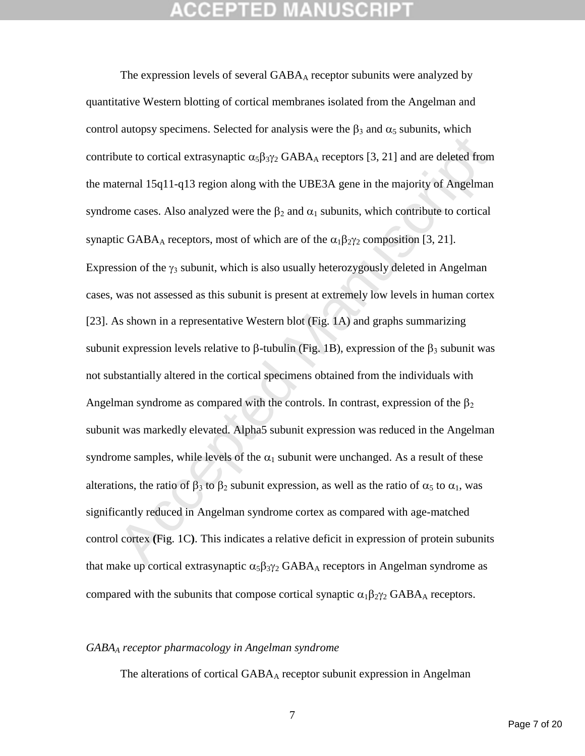but to cortical extrasynaptic  $\alpha_5\beta_{372}$  GABA<sub>A</sub> receptors [3, 21] and are deleted from<br>ternal 15q11-q13 region along with the UBE3A gene in the majority of Angelman<br>ome cases. Also analyzed were the β<sub>2</sub> and  $\alpha_1$  s The expression levels of several GABA<sub>A</sub> receptor subunits were analyzed by quantitative Western blotting of cortical membranes isolated from the Angelman and control autopsy specimens. Selected for analysis were the  $\beta_3$  and  $\alpha_5$  subunits, which contribute to cortical extrasynaptic  $\alpha_5\beta_3\gamma_2$  GABA<sub>A</sub> receptors [3, 21] and are deleted from the maternal 15q11-q13 region along with the UBE3A gene in the majority of Angelman syndrome cases. Also analyzed were the  $\beta_2$  and  $\alpha_1$  subunits, which contribute to cortical synaptic GABA<sub>A</sub> receptors, most of which are of the  $\alpha_1\beta_2\gamma_2$  composition [3, 21]. Expression of the  $\gamma_3$  subunit, which is also usually heterozygously deleted in Angelman cases, was not assessed as this subunit is present at extremely low levels in human cortex [23]. As shown in a representative Western blot (Fig. 1A) and graphs summarizing subunit expression levels relative to  $\beta$ -tubulin (Fig. 1B), expression of the  $\beta_3$  subunit was not substantially altered in the cortical specimens obtained from the individuals with Angelman syndrome as compared with the controls. In contrast, expression of the  $\beta_2$ subunit was markedly elevated. Alpha5 subunit expression was reduced in the Angelman syndrome samples, while levels of the  $\alpha_1$  subunit were unchanged. As a result of these alterations, the ratio of  $\beta_3$  to  $\beta_2$  subunit expression, as well as the ratio of  $\alpha_5$  to  $\alpha_1$ , was significantly reduced in Angelman syndrome cortex as compared with age-matched control cortex **(**Fig. 1C**)**. This indicates a relative deficit in expression of protein subunits that make up cortical extrasynaptic  $\alpha_5\beta_3\gamma_2$  GABA<sub>A</sub> receptors in Angelman syndrome as compared with the subunits that compose cortical synaptic  $\alpha_1 \beta_2 \gamma_2$  GABA<sub>A</sub> receptors.

## *GABA<sup>A</sup> receptor pharmacology in Angelman syndrome*

The alterations of cortical  $GABA_A$  receptor subunit expression in Angelman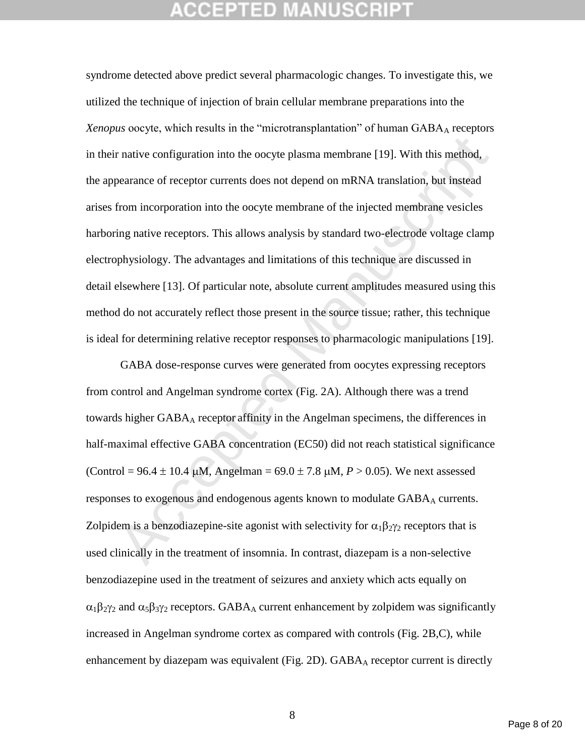## GEPTED

r native configuration into the oocyte plasma membrane [19]. With this method,<br>pearance of receptor currents does not depend on mRNA translation, but instead<br>from incorporation into the oocyte membrane of the injected mem syndrome detected above predict several pharmacologic changes. To investigate this, we utilized the technique of injection of brain cellular membrane preparations into the *Xenopus* oocyte, which results in the "microtransplantation" of human GABA<sub>A</sub> receptors in their native configuration into the oocyte plasma membrane [19]. With this method, the appearance of receptor currents does not depend on mRNA translation, but instead arises from incorporation into the oocyte membrane of the injected membrane vesicles harboring native receptors. This allows analysis by standard two-electrode voltage clamp electrophysiology. The advantages and limitations of this technique are discussed in detail elsewhere [13]. Of particular note, absolute current amplitudes measured using this method do not accurately reflect those present in the source tissue; rather, this technique is ideal for determining relative receptor responses to pharmacologic manipulations [19].

GABA dose-response curves were generated from oocytes expressing receptors from control and Angelman syndrome cortex (Fig. 2A). Although there was a trend towards higher  $GABA_A$  receptor affinity in the Angelman specimens, the differences in half-maximal effective GABA concentration (EC50) did not reach statistical significance (Control =  $96.4 \pm 10.4 \mu M$ , Angelman =  $69.0 \pm 7.8 \mu M$ ,  $P > 0.05$ ). We next assessed responses to exogenous and endogenous agents known to modulate  $GABA_A$  currents. Zolpidem is a benzodiazepine-site agonist with selectivity for  $\alpha_1\beta_2\gamma_2$  receptors that is used clinically in the treatment of insomnia. In contrast, diazepam is a non-selective benzodiazepine used in the treatment of seizures and anxiety which acts equally on  $\alpha_1\beta_2\gamma_2$  and  $\alpha_5\beta_3\gamma_2$  receptors. GABA<sub>A</sub> current enhancement by zolpidem was significantly increased in Angelman syndrome cortex as compared with controls (Fig. 2B,C), while enhancement by diazepam was equivalent (Fig. 2D).  $GABA_A$  receptor current is directly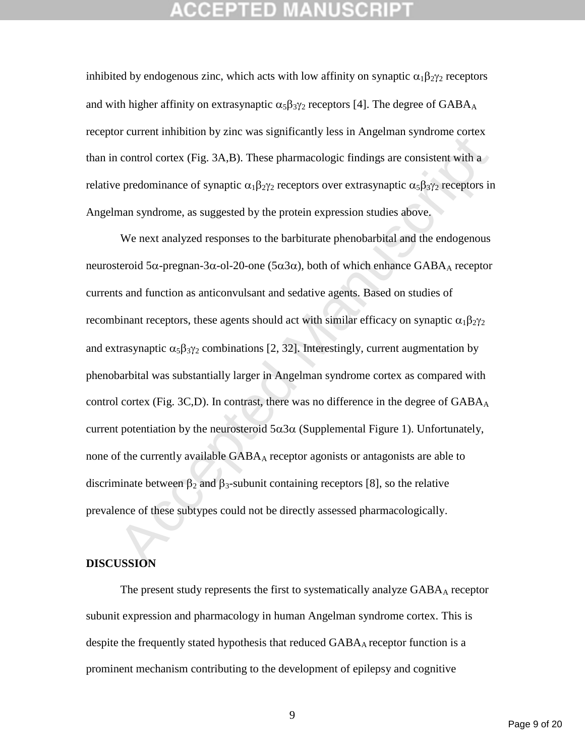inhibited by endogenous zinc, which acts with low affinity on synaptic  $\alpha_1 \beta_2 \gamma_2$  receptors and with higher affinity on extrasynaptic  $\alpha_5\beta_3\gamma_2$  receptors [4]. The degree of GABA<sub>A</sub> receptor current inhibition by zinc was significantly less in Angelman syndrome cortex than in control cortex (Fig. 3A,B). These pharmacologic findings are consistent with a relative predominance of synaptic  $\alpha_1 \beta_2 \gamma_2$  receptors over extrasynaptic  $\alpha_5 \beta_3 \gamma_2$  receptors in Angelman syndrome, as suggested by the protein expression studies above.

Acceleration of the state and segmentation of the magnitudity of the magnitudity spin of control cortex.<br>
Control cortex (Fig. 3A,B). These pharmacologic findings are consistent with a<br>
e predominance of synaptic  $\alpha_1\beta$ We next analyzed responses to the barbiturate phenobarbital and the endogenous neurosteroid  $5\alpha$ -pregnan-3 $\alpha$ -ol-20-one (5 $\alpha$ 3 $\alpha$ ), both of which enhance GABA<sub>A</sub> receptor currents and function as anticonvulsant and sedative agents. Based on studies of recombinant receptors, these agents should act with similar efficacy on synaptic  $\alpha_1\beta_2\gamma_2$ and extrasynaptic  $\alpha_5\beta_3\gamma_2$  combinations [2, 32]. Interestingly, current augmentation by phenobarbital was substantially larger in Angelman syndrome cortex as compared with control cortex (Fig. 3C,D). In contrast, there was no difference in the degree of  $GABA_A$ current potentiation by the neurosteroid  $5\alpha 3\alpha$  (Supplemental Figure 1). Unfortunately, none of the currently available GABAA receptor agonists or antagonists are able to discriminate between  $\beta_2$  and  $\beta_3$ -subunit containing receptors [8], so the relative prevalence of these subtypes could not be directly assessed pharmacologically.

## **DISCUSSION**

The present study represents the first to systematically analyze  $GABA_A$  receptor subunit expression and pharmacology in human Angelman syndrome cortex. This is despite the frequently stated hypothesis that reduced GABA<sub>A</sub> receptor function is a prominent mechanism contributing to the development of epilepsy and cognitive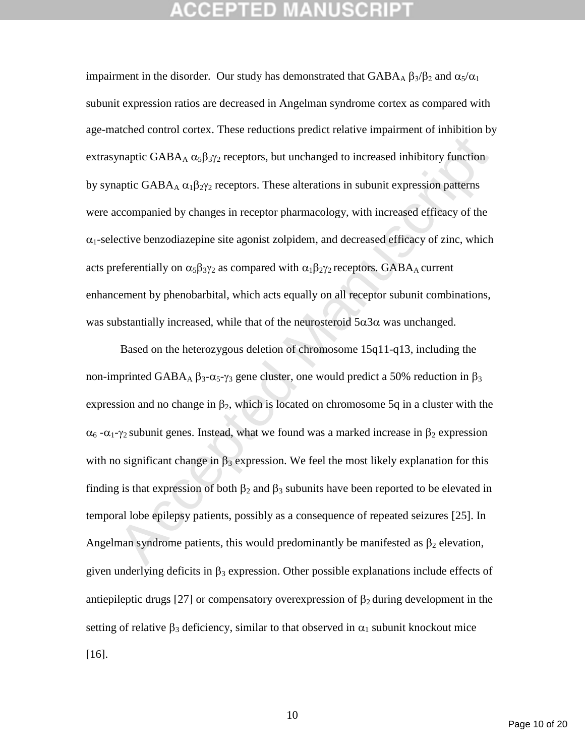impairment in the disorder. Our study has demonstrated that  $GABA_A \beta_3/\beta_2$  and  $\alpha_5/\alpha_1$ subunit expression ratios are decreased in Angelman syndrome cortex as compared with age-matched control cortex. These reductions predict relative impairment of inhibition by extrasynaptic GABA<sub>A</sub>  $\alpha_5\beta_3\gamma_2$  receptors, but unchanged to increased inhibitory function by synaptic GABA<sub>A</sub>  $\alpha_1\beta_2\gamma_2$  receptors. These alterations in subunit expression patterns were accompanied by changes in receptor pharmacology, with increased efficacy of the  $\alpha_1$ -selective benzodiazepine site agonist zolpidem, and decreased efficacy of zinc, which acts preferentially on  $\alpha_5\beta_3\gamma_2$  as compared with  $\alpha_1\beta_2\gamma_2$  receptors. GABA<sub>A</sub> current enhancement by phenobarbital, which acts equally on all receptor subunit combinations, was substantially increased, while that of the neurosteroid  $5\alpha 3\alpha$  was unchanged.

ynaptic GABA<sub>A</sub> α<sub>5</sub>β<sub>372</sub> receptors, but unchanged to increased inhibitory function<br>aptic GABA<sub>A</sub> α<sub>5</sub>β<sub>372</sub> receptors. These alterations in subunit expression patterns<br>accompanied by changes in receptor pharmacology, w Based on the heterozygous deletion of chromosome 15q11-q13, including the non-imprinted GABA<sub>A</sub>  $\beta_3$ - $\alpha_5$ - $\gamma_3$  gene cluster, one would predict a 50% reduction in  $\beta_3$ expression and no change in  $\beta_2$ , which is located on chromosome 5q in a cluster with the  $\alpha_6$  - $\alpha_1$ - $\gamma_2$  subunit genes. Instead, what we found was a marked increase in  $\beta_2$  expression with no significant change in  $\beta_3$  expression. We feel the most likely explanation for this finding is that expression of both  $\beta_2$  and  $\beta_3$  subunits have been reported to be elevated in temporal lobe epilepsy patients, possibly as a consequence of repeated seizures [25]. In Angelman syndrome patients, this would predominantly be manifested as  $\beta_2$  elevation, given underlying deficits in  $\beta_3$  expression. Other possible explanations include effects of antiepileptic drugs [27] or compensatory overexpression of  $\beta_2$  during development in the setting of relative  $\beta_3$  deficiency, similar to that observed in  $\alpha_1$  subunit knockout mice [16].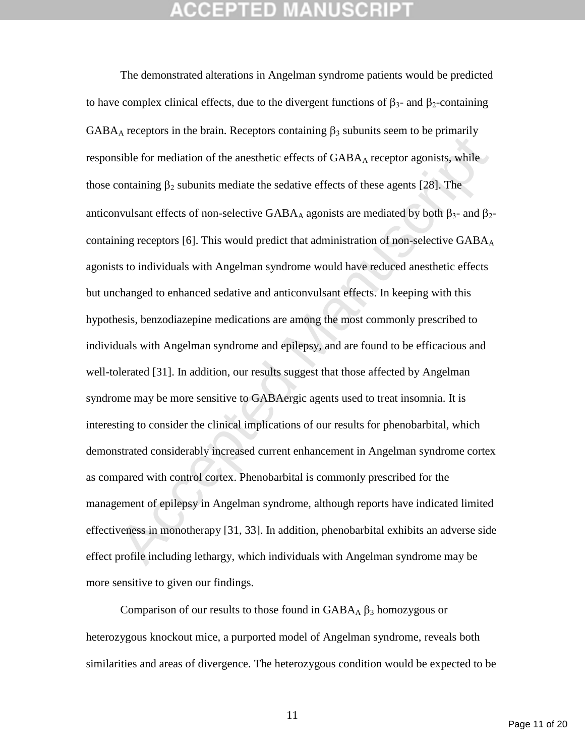Example and the measurement of the ansignal extends the Magdinan syndrom entity and the secondarium  $\beta$  is submitted frects of GABA<sub>A</sub> receptor agonists, while containing  $\beta_2$  subunits mediate the sedative effects of t The demonstrated alterations in Angelman syndrome patients would be predicted to have complex clinical effects, due to the divergent functions of  $\beta_3$ - and  $\beta_2$ -containing GABA<sub>A</sub> receptors in the brain. Receptors containing  $\beta_3$  subunits seem to be primarily responsible for mediation of the anesthetic effects of  $GABA_A$  receptor agonists, while those containing  $\beta_2$  subunits mediate the sedative effects of these agents [28]. The anticonvulsant effects of non-selective GABA<sub>A</sub> agonists are mediated by both  $\beta_3$ - and  $\beta_2$ containing receptors [6]. This would predict that administration of non-selective  $GABA_A$ agonists to individuals with Angelman syndrome would have reduced anesthetic effects but unchanged to enhanced sedative and anticonvulsant effects. In keeping with this hypothesis, benzodiazepine medications are among the most commonly prescribed to individuals with Angelman syndrome and epilepsy, and are found to be efficacious and well-tolerated [31]. In addition, our results suggest that those affected by Angelman syndrome may be more sensitive to GABAergic agents used to treat insomnia. It is interesting to consider the clinical implications of our results for phenobarbital, which demonstrated considerably increased current enhancement in Angelman syndrome cortex as compared with control cortex. Phenobarbital is commonly prescribed for the management of epilepsy in Angelman syndrome, although reports have indicated limited effectiveness in monotherapy [31, 33]. In addition, phenobarbital exhibits an adverse side effect profile including lethargy, which individuals with Angelman syndrome may be more sensitive to given our findings.

Comparison of our results to those found in  $GABA_A \beta_3$  homozygous or heterozygous knockout mice, a purported model of Angelman syndrome, reveals both similarities and areas of divergence. The heterozygous condition would be expected to be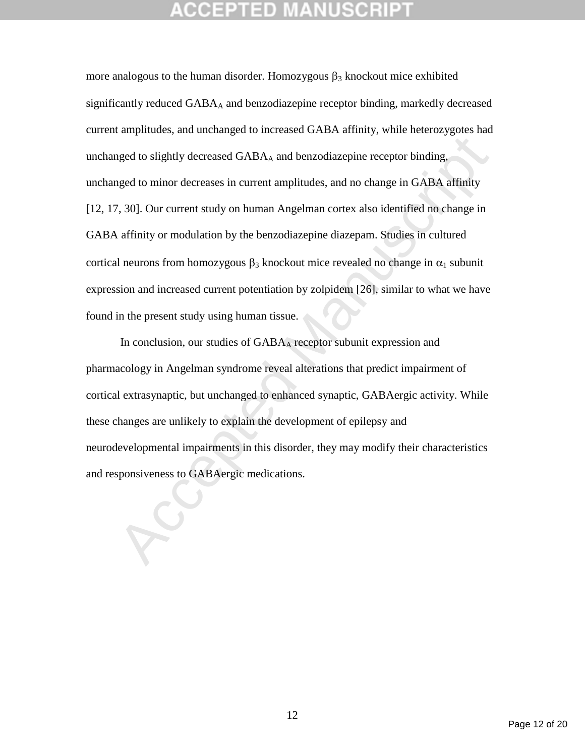and to slightly decreased GABA<sub>A</sub> and benzodiazepine receptor binding,<br>right to minor decreases in current amplitudes, and no change in GABA affinity<br>7, 30]. Our current study on human Angelman cortex also identified no c more analogous to the human disorder. Homozygous  $\beta_3$  knockout mice exhibited significantly reduced  $GABA_A$  and benzodiazepine receptor binding, markedly decreased current amplitudes, and unchanged to increased GABA affinity, while heterozygotes had unchanged to slightly decreased GABAA and benzodiazepine receptor binding, unchanged to minor decreases in current amplitudes, and no change in GABA affinity [12, 17, 30]. Our current study on human Angelman cortex also identified no change in GABA affinity or modulation by the benzodiazepine diazepam. Studies in cultured cortical neurons from homozygous  $\beta_3$  knockout mice revealed no change in  $\alpha_1$  subunit expression and increased current potentiation by zolpidem [26], similar to what we have found in the present study using human tissue.

In conclusion, our studies of  $GABA_A$  receptor subunit expression and pharmacology in Angelman syndrome reveal alterations that predict impairment of cortical extrasynaptic, but unchanged to enhanced synaptic, GABAergic activity. While these changes are unlikely to explain the development of epilepsy and neurodevelopmental impairments in this disorder, they may modify their characteristics and responsiveness to GABAergic medications.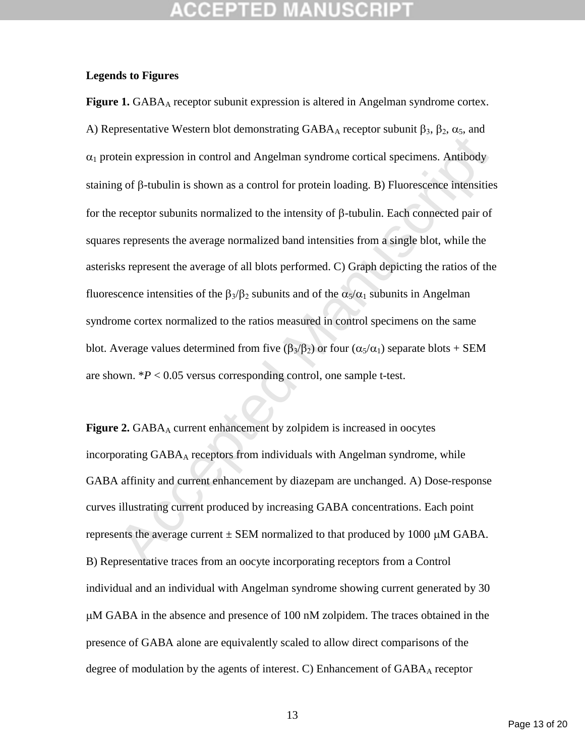### **Legends to Figures**

tein expression in control and Angelman syndrome cortical specimens. Antibody<br>g of  $\beta$ -tubulin is shown as a control for protein loading. B) Fluorescence intensities<br>receptor subunits normalized to the intensity of  $\beta$ -**Figure 1.** GABA<sub>A</sub> receptor subunit expression is altered in Angelman syndrome cortex. A) Representative Western blot demonstrating GABA<sub>A</sub> receptor subunit  $\beta_3$ ,  $\beta_2$ ,  $\alpha_5$ , and  $\alpha_1$  protein expression in control and Angelman syndrome cortical specimens. Antibody staining of  $\beta$ -tubulin is shown as a control for protein loading. B) Fluorescence intensities for the receptor subunits normalized to the intensity of  $\beta$ -tubulin. Each connected pair of squares represents the average normalized band intensities from a single blot, while the asterisks represent the average of all blots performed. C) Graph depicting the ratios of the fluorescence intensities of the  $\beta_3/\beta_2$  subunits and of the  $\alpha_5/\alpha_1$  subunits in Angelman syndrome cortex normalized to the ratios measured in control specimens on the same blot. Average values determined from five  $(\beta_3/\beta_2)$  or four  $(\alpha_5/\alpha_1)$  separate blots + SEM are shown.  $*P < 0.05$  versus corresponding control, one sample t-test.

**Figure 2.** GABA<sub>A</sub> current enhancement by zolpidem is increased in oocytes incorporating  $GABA_A$  receptors from individuals with Angelman syndrome, while GABA affinity and current enhancement by diazepam are unchanged. A) Dose-response curves illustrating current produced by increasing GABA concentrations. Each point represents the average current  $\pm$  SEM normalized to that produced by 1000  $\mu$ M GABA. B) Representative traces from an oocyte incorporating receptors from a Control individual and an individual with Angelman syndrome showing current generated by 30 M GABA in the absence and presence of 100 nM zolpidem. The traces obtained in the presence of GABA alone are equivalently scaled to allow direct comparisons of the degree of modulation by the agents of interest. C) Enhancement of  $GABA_A$  receptor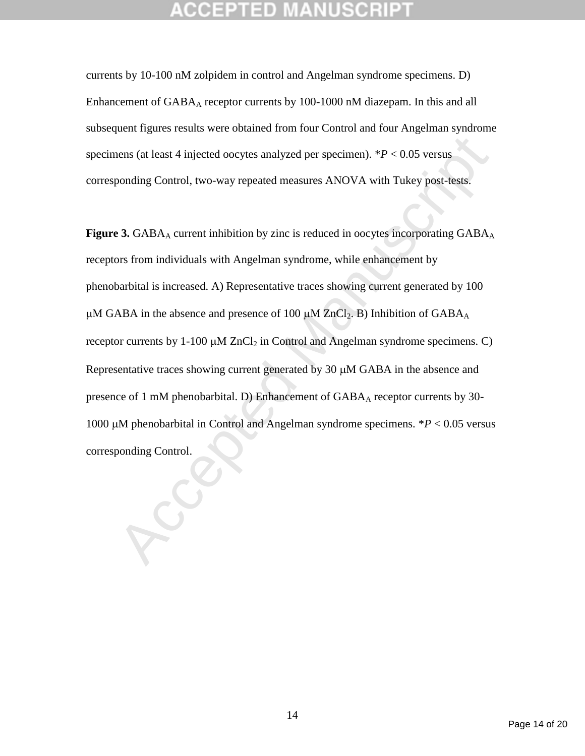currents by 10-100 nM zolpidem in control and Angelman syndrome specimens. D) Enhancement of  $GABA_A$  receptor currents by 100-1000 nM diazepam. In this and all subsequent figures results were obtained from four Control and four Angelman syndrome specimens (at least 4 injected oocytes analyzed per specimen).  $*P < 0.05$  versus corresponding Control, two-way repeated measures ANOVA with Tukey post-tests.

hens (at least 4 injected oocytes analyzed per specimen).  $^{*}P < 0.05$  versus ponding Control, two-way repeated measures ANOVA with Tukey post-tests.<br>
Accept 3. GABA<sub>A</sub> current inhibition by zinc is reduced in oocytes inc **Figure 3.** GABA<sub>A</sub> current inhibition by zinc is reduced in oocytes incorporating  $GABA_A$ receptors from individuals with Angelman syndrome, while enhancement by phenobarbital is increased. A) Representative traces showing current generated by 100  $\mu$ M GABA in the absence and presence of 100  $\mu$ M ZnCl<sub>2</sub>. B) Inhibition of GABA<sub>A</sub> receptor currents by  $1-100 \mu M ZnCl_2$  in Control and Angelman syndrome specimens. C) Representative traces showing current generated by  $30 \mu M$  GABA in the absence and presence of 1 mM phenobarbital. D) Enhancement of  $GABA_A$  receptor currents by 30-1000  $\mu$ M phenobarbital in Control and Angelman syndrome specimens.  $P < 0.05$  versus corresponding Control.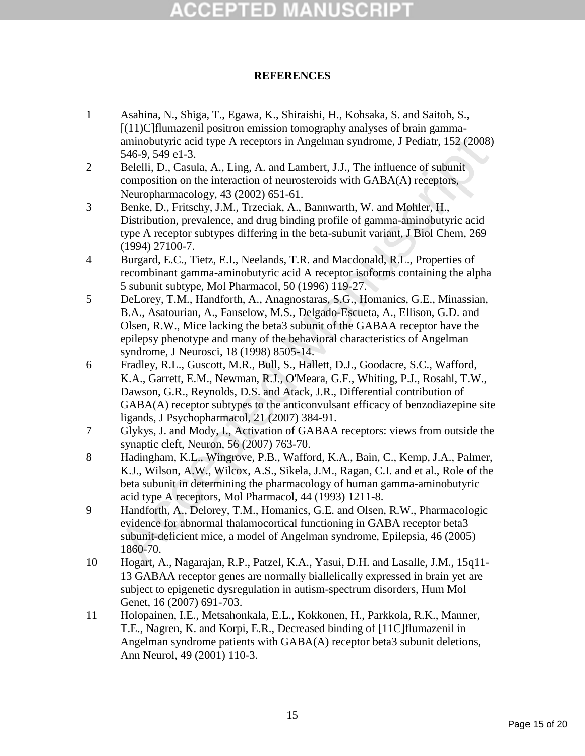## **REFERENCES**

- 1 Asahina, N., Shiga, T., Egawa, K., Shiraishi, H., Kohsaka, S. and Saitoh, S.,  $[(11)C]$ flumazenil positron emission tomography analyses of brain gammaaminobutyric acid type A receptors in Angelman syndrome, J Pediatr, 152 (2008) 546-9, 549 e1-3.
- 2 Belelli, D., Casula, A., Ling, A. and Lambert, J.J., The influence of subunit composition on the interaction of neurosteroids with GABA(A) receptors, Neuropharmacology, 43 (2002) 651-61.
- 3 Benke, D., Fritschy, J.M., Trzeciak, A., Bannwarth, W. and Mohler, H., Distribution, prevalence, and drug binding profile of gamma-aminobutyric acid type A receptor subtypes differing in the beta-subunit variant, J Biol Chem, 269 (1994) 27100-7.
- 4 Burgard, E.C., Tietz, E.I., Neelands, T.R. and Macdonald, R.L., Properties of recombinant gamma-aminobutyric acid A receptor isoforms containing the alpha 5 subunit subtype, Mol Pharmacol, 50 (1996) 119-27.
- 5 DeLorey, T.M., Handforth, A., Anagnostaras, S.G., Homanics, G.E., Minassian, B.A., Asatourian, A., Fanselow, M.S., Delgado-Escueta, A., Ellison, G.D. and Olsen, R.W., Mice lacking the beta3 subunit of the GABAA receptor have the epilepsy phenotype and many of the behavioral characteristics of Angelman syndrome, J Neurosci, 18 (1998) 8505-14.
- aminobutyric acid type A receptors in Angelman syndrome, J Pediatr, 152 (2008)<br>
546-9, 549 e1-3.<br>
DeBelli, D., Casula, A., Ling, A. and Lambert, J.J., The influence of subunit<br>
composition on the interaction of neurosteroi 6 Fradley, R.L., Guscott, M.R., Bull, S., Hallett, D.J., Goodacre, S.C., Wafford, K.A., Garrett, E.M., Newman, R.J., O'Meara, G.F., Whiting, P.J., Rosahl, T.W., Dawson, G.R., Reynolds, D.S. and Atack, J.R., Differential contribution of GABA(A) receptor subtypes to the anticonvulsant efficacy of benzodiazepine site ligands, J Psychopharmacol, 21 (2007) 384-91.
- 7 Glykys, J. and Mody, I., Activation of GABAA receptors: views from outside the synaptic cleft, Neuron, 56 (2007) 763-70.
- 8 Hadingham, K.L., Wingrove, P.B., Wafford, K.A., Bain, C., Kemp, J.A., Palmer, K.J., Wilson, A.W., Wilcox, A.S., Sikela, J.M., Ragan, C.I. and et al., Role of the beta subunit in determining the pharmacology of human gamma-aminobutyric acid type A receptors, Mol Pharmacol, 44 (1993) 1211-8.
- 9 Handforth, A., Delorey, T.M., Homanics, G.E. and Olsen, R.W., Pharmacologic evidence for abnormal thalamocortical functioning in GABA receptor beta3 subunit-deficient mice, a model of Angelman syndrome, Epilepsia, 46 (2005) 1860-70.
- 10 Hogart, A., Nagarajan, R.P., Patzel, K.A., Yasui, D.H. and Lasalle, J.M., 15q11- 13 GABAA receptor genes are normally biallelically expressed in brain yet are subject to epigenetic dysregulation in autism-spectrum disorders, Hum Mol Genet, 16 (2007) 691-703.
- 11 Holopainen, I.E., Metsahonkala, E.L., Kokkonen, H., Parkkola, R.K., Manner, T.E., Nagren, K. and Korpi, E.R., Decreased binding of [11C]flumazenil in Angelman syndrome patients with GABA(A) receptor beta3 subunit deletions, Ann Neurol, 49 (2001) 110-3.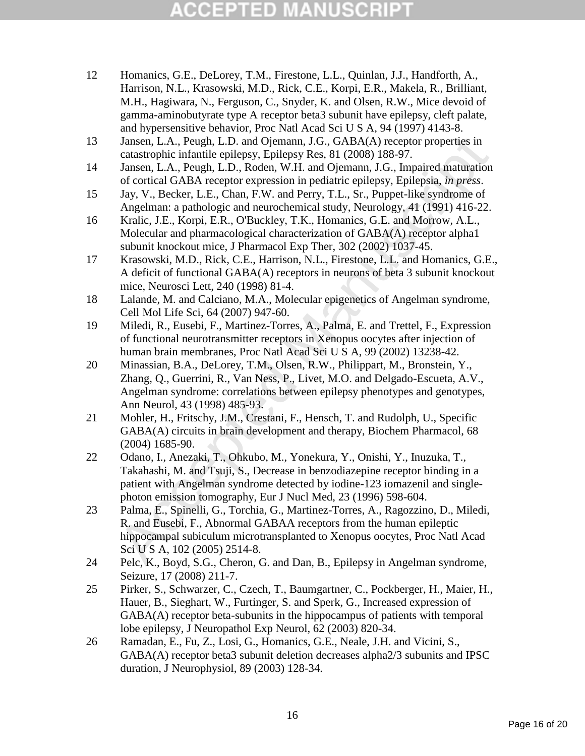- 12 Homanics, G.E., DeLorey, T.M., Firestone, L.L., Quinlan, J.J., Handforth, A., Harrison, N.L., Krasowski, M.D., Rick, C.E., Korpi, E.R., Makela, R., Brilliant, M.H., Hagiwara, N., Ferguson, C., Snyder, K. and Olsen, R.W., Mice devoid of gamma-aminobutyrate type A receptor beta3 subunit have epilepsy, cleft palate, and hypersensitive behavior, Proc Natl Acad Sci U S A, 94 (1997) 4143-8.
- 13 Jansen, L.A., Peugh, L.D. and Ojemann, J.G., GABA(A) receptor properties in catastrophic infantile epilepsy, Epilepsy Res, 81 (2008) 188-97.
- 14 Jansen, L.A., Peugh, L.D., Roden, W.H. and Ojemann, J.G., Impaired maturation of cortical GABA receptor expression in pediatric epilepsy, Epilepsia, *in press*.
- 15 Jay, V., Becker, L.E., Chan, F.W. and Perry, T.L., Sr., Puppet-like syndrome of Angelman: a pathologic and neurochemical study, Neurology, 41 (1991) 416-22.
- 16 Kralic, J.E., Korpi, E.R., O'Buckley, T.K., Homanics, G.E. and Morrow, A.L., Molecular and pharmacological characterization of GABA(A) receptor alpha1 subunit knockout mice, J Pharmacol Exp Ther, 302 (2002) 1037-45.
- 17 Krasowski, M.D., Rick, C.E., Harrison, N.L., Firestone, L.L. and Homanics, G.E., A deficit of functional GABA(A) receptors in neurons of beta 3 subunit knockout mice, Neurosci Lett, 240 (1998) 81-4.
- 18 Lalande, M. and Calciano, M.A., Molecular epigenetics of Angelman syndrome, Cell Mol Life Sci, 64 (2007) 947-60.
- 19 Miledi, R., Eusebi, F., Martinez-Torres, A., Palma, E. and Trettel, F., Expression of functional neurotransmitter receptors in Xenopus oocytes after injection of human brain membranes, Proc Natl Acad Sci U S A, 99 (2002) 13238-42.
- 20 Minassian, B.A., DeLorey, T.M., Olsen, R.W., Philippart, M., Bronstein, Y., Zhang, Q., Guerrini, R., Van Ness, P., Livet, M.O. and Delgado-Escueta, A.V., Angelman syndrome: correlations between epilepsy phenotypes and genotypes, Ann Neurol, 43 (1998) 485-93.
- 21 Mohler, H., Fritschy, J.M., Crestani, F., Hensch, T. and Rudolph, U., Specific GABA(A) circuits in brain development and therapy, Biochem Pharmacol, 68 (2004) 1685-90.
- 22 Odano, I., Anezaki, T., Ohkubo, M., Yonekura, Y., Onishi, Y., Inuzuka, T., Takahashi, M. and Tsuji, S., Decrease in benzodiazepine receptor binding in a patient with Angelman syndrome detected by iodine-123 iomazenil and singlephoton emission tomography, Eur J Nucl Med, 23 (1996) 598-604.
- Jansen, L.A., Peugh, L.D. and Ojemann, J.G., GABA(A) receptor properties in<br>catastrophic infantite epilegy, Epilegy, Res, 81 (2008) 188-97.<br>Jansen, L.A., Peugh, L.D., Roden, W.H. and Ojemann, J.G., Impaired maturation<br>of c 23 Palma, E., Spinelli, G., Torchia, G., Martinez-Torres, A., Ragozzino, D., Miledi, R. and Eusebi, F., Abnormal GABAA receptors from the human epileptic hippocampal subiculum microtransplanted to Xenopus oocytes, Proc Natl Acad Sci U S A, 102 (2005) 2514-8.
- 24 Pelc, K., Boyd, S.G., Cheron, G. and Dan, B., Epilepsy in Angelman syndrome, Seizure, 17 (2008) 211-7.
- 25 Pirker, S., Schwarzer, C., Czech, T., Baumgartner, C., Pockberger, H., Maier, H., Hauer, B., Sieghart, W., Furtinger, S. and Sperk, G., Increased expression of GABA(A) receptor beta-subunits in the hippocampus of patients with temporal lobe epilepsy, J Neuropathol Exp Neurol, 62 (2003) 820-34.
- 26 Ramadan, E., Fu, Z., Losi, G., Homanics, G.E., Neale, J.H. and Vicini, S., GABA(A) receptor beta3 subunit deletion decreases alpha2/3 subunits and IPSC duration, J Neurophysiol, 89 (2003) 128-34.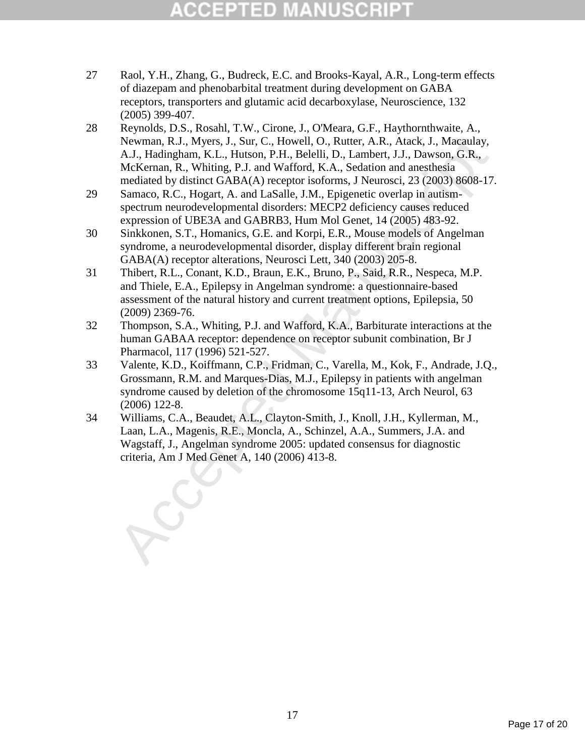- 27 Raol, Y.H., Zhang, G., Budreck, E.C. and Brooks-Kayal, A.R., Long-term effects of diazepam and phenobarbital treatment during development on GABA receptors, transporters and glutamic acid decarboxylase, Neuroscience, 132 (2005) 399-407.
- Newman, R.J., Myers, J., Sur, C., Howell, O., Rutter, A.R., Atack, J., Macaulay, A.J., Hadingham, K.L., Huston, P.H., Belelli, D., Lambert, J.J., Dawson, G.R., Hadingham, M., Missimic GABA(A) receptor isoforoms, J.Neurosci 28 Reynolds, D.S., Rosahl, T.W., Cirone, J., O'Meara, G.F., Haythornthwaite, A., Newman, R.J., Myers, J., Sur, C., Howell, O., Rutter, A.R., Atack, J., Macaulay, A.J., Hadingham, K.L., Hutson, P.H., Belelli, D., Lambert, J.J., Dawson, G.R., McKernan, R., Whiting, P.J. and Wafford, K.A., Sedation and anesthesia mediated by distinct GABA(A) receptor isoforms, J Neurosci, 23 (2003) 8608-17.
- 29 Samaco, R.C., Hogart, A. and LaSalle, J.M., Epigenetic overlap in autismspectrum neurodevelopmental disorders: MECP2 deficiency causes reduced expression of UBE3A and GABRB3, Hum Mol Genet, 14 (2005) 483-92.
- 30 Sinkkonen, S.T., Homanics, G.E. and Korpi, E.R., Mouse models of Angelman syndrome, a neurodevelopmental disorder, display different brain regional GABA(A) receptor alterations, Neurosci Lett, 340 (2003) 205-8.
- 31 Thibert, R.L., Conant, K.D., Braun, E.K., Bruno, P., Said, R.R., Nespeca, M.P. and Thiele, E.A., Epilepsy in Angelman syndrome: a questionnaire-based assessment of the natural history and current treatment options, Epilepsia, 50 (2009) 2369-76.
- 32 Thompson, S.A., Whiting, P.J. and Wafford, K.A., Barbiturate interactions at the human GABAA receptor: dependence on receptor subunit combination, Br J Pharmacol, 117 (1996) 521-527.
- 33 Valente, K.D., Koiffmann, C.P., Fridman, C., Varella, M., Kok, F., Andrade, J.Q., Grossmann, R.M. and Marques-Dias, M.J., Epilepsy in patients with angelman syndrome caused by deletion of the chromosome 15q11-13, Arch Neurol, 63 (2006) 122-8.
- 34 Williams, C.A., Beaudet, A.L., Clayton-Smith, J., Knoll, J.H., Kyllerman, M., Laan, L.A., Magenis, R.E., Moncla, A., Schinzel, A.A., Summers, J.A. and Wagstaff, J., Angelman syndrome 2005: updated consensus for diagnostic criteria, Am J Med Genet A, 140 (2006) 413-8.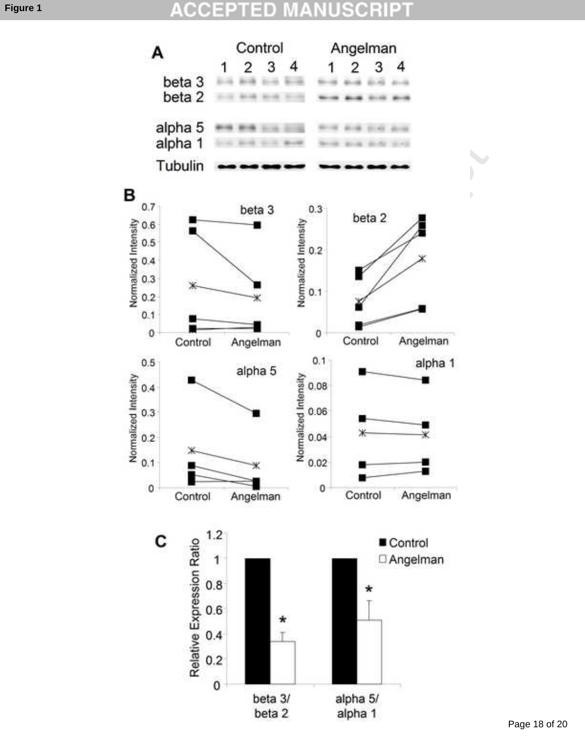### CCE CRIP 生 n D

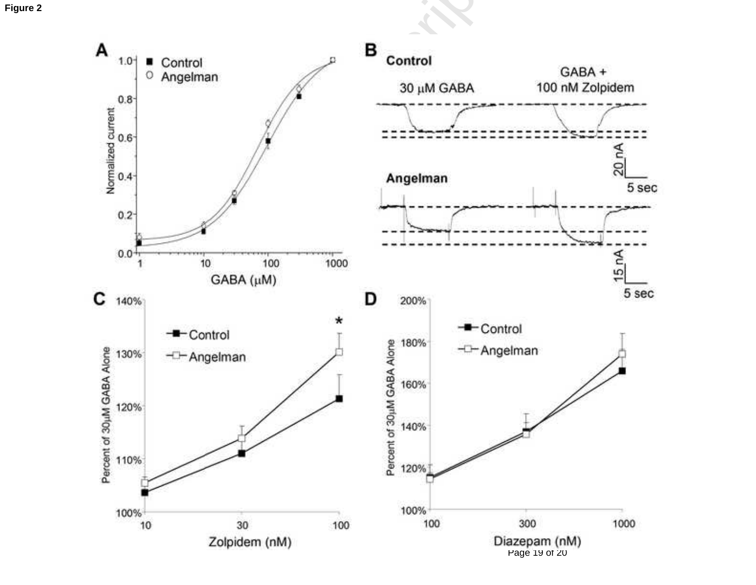